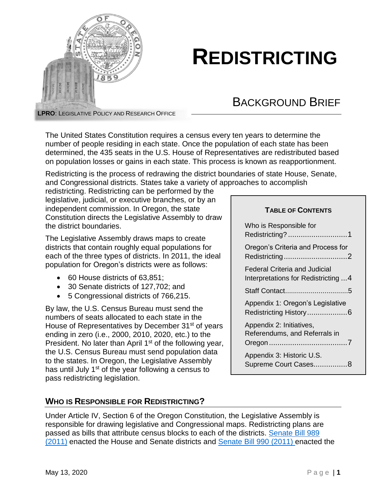

# **REDISTRICTING**

## BACKGROUND BRIEF

**LPRO**: LEGISLATIVE POLICY AND RESEARCH OFFICE

The United States Constitution requires a census every ten years to determine the number of people residing in each state. Once the population of each state has been determined, the 435 seats in the U.S. House of Representatives are redistributed based on population losses or gains in each state. This process is known as reapportionment.

Redistricting is the process of redrawing the district boundaries of state House, Senate, and Congressional districts. States take a variety of approaches to accomplish

redistricting. Redistricting can be performed by the legislative, judicial, or executive branches, or by an independent commission. In Oregon, the state Constitution directs the Legislative Assembly to draw the district boundaries.

The Legislative Assembly draws maps to create districts that contain roughly equal populations for each of the three types of districts. In 2011, the ideal population for Oregon's districts were as follows:

- 60 House districts of 63,851:
- 30 Senate districts of 127,702; and
- 5 Congressional districts of 766,215.

By law, the U.S. Census Bureau must send the numbers of seats allocated to each state in the House of Representatives by December 31<sup>st</sup> of years ending in zero (i.e., 2000, 2010, 2020, etc.) to the President. No later than April 1<sup>st</sup> of the following year, the U.S. Census Bureau must send population data to the states. In Oregon, the Legislative Assembly has until July 1<sup>st</sup> of the year following a census to pass redistricting legislation.

#### **TABLE OF CONTENTS**

| Who is Responsible for<br>Redistricting? 1                 |
|------------------------------------------------------------|
| Oregon's Criteria and Process for<br>Redistricting2        |
| Federal Criteria and Judicial                              |
| Interpretations for Redistricting 4                        |
|                                                            |
| Appendix 1: Oregon's Legislative<br>Redistricting History6 |
| Appendix 2: Initiatives,<br>Referendums, and Referrals in  |
| Appendix 3: Historic U.S.                                  |
| Supreme Court Cases8                                       |

## <span id="page-0-0"></span>**WHO IS RESPONSIBLE FOR REDISTRICTING?**

Under Article IV, Section 6 of the Oregon Constitution, the Legislative Assembly is responsible for drawing legislative and Congressional maps. Redistricting plans are passed as bills that attribute census blocks to each of the districts. [Senate Bill 989](https://olis.oregonlegislature.gov/liz/2011R1/Measures/Overview/SB989)  [\(2011\)](https://olis.oregonlegislature.gov/liz/2011R1/Measures/Overview/SB989) enacted the House and Senate districts and [Senate Bill 990](https://olis.oregonlegislature.gov/liz/2011R1/Measures/Overview/SB990) (2011) enacted the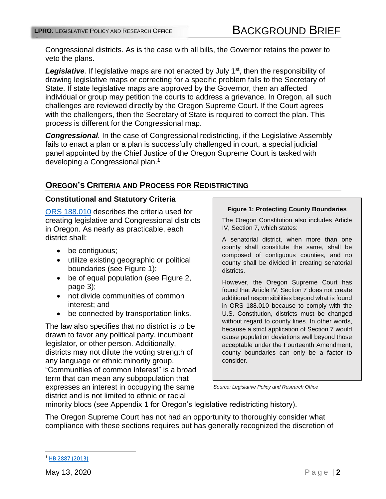Congressional districts. As is the case with all bills, the Governor retains the power to veto the plans.

Legislative. If legislative maps are not enacted by July 1<sup>st</sup>, then the responsibility of drawing legislative maps or correcting for a specific problem falls to the Secretary of State. If state legislative maps are approved by the Governor, then an affected individual or group may petition the courts to address a grievance. In Oregon, all such challenges are reviewed directly by the Oregon Supreme Court. If the Court agrees with the challengers, then the Secretary of State is required to correct the plan. This process is different for the Congressional map.

*Congressional.* In the case of Congressional redistricting, if the Legislative Assembly fails to enact a plan or a plan is successfully challenged in court, a special judicial panel appointed by the Chief Justice of the Oregon Supreme Court is tasked with developing a Congressional plan. 1

## <span id="page-1-0"></span>**OREGON'S CRITERIA AND PROCESS FOR REDISTRICTING**

#### **Constitutional and Statutory Criteria**

[ORS 188.010](https://www.oregonlaws.org/ors/188.110) describes the criteria used for creating legislative and Congressional districts in Oregon. As nearly as practicable, each district shall:

- be contiguous;
- utilize existing geographic or political boundaries (see Figure 1);
- be of equal population (see Figure 2, page 3);
- not divide communities of common interest; and
- be connected by transportation links.

The law also specifies that no district is to be drawn to favor any political party, incumbent legislator, or other person. Additionally, districts may not dilute the voting strength of any language or ethnic minority group. "Communities of common interest" is a broad term that can mean any subpopulation that expresses an interest in occupying the same district and is not limited to ethnic or racial

#### **Figure 1: Protecting County Boundaries**

The Oregon Constitution also includes Article IV, Section 7, which states:

A senatorial district, when more than one county shall constitute the same, shall be composed of contiguous counties, and no county shall be divided in creating senatorial districts.

However, the Oregon Supreme Court has found that Article IV, Section 7 does not create additional responsibilities beyond what is found in ORS 188.010 because to comply with the U.S. Constitution, districts must be changed without regard to county lines. In other words, because a strict application of Section 7 would cause population deviations well beyond those acceptable under the Fourteenth Amendment, county boundaries can only be a factor to consider.

*Source: Legislative Policy and Research Office*

minority blocs (see Appendix 1 for Oregon's legislative redistricting history).

The Oregon Supreme Court has not had an opportunity to thoroughly consider what compliance with these sections requires but has generally recognized the discretion of

 $\overline{a}$ 

<sup>1</sup> HB [2887 \(2013\)](https://olis.oregonlegislature.gov/liz/2013R1/Measures/Overview/HB2887)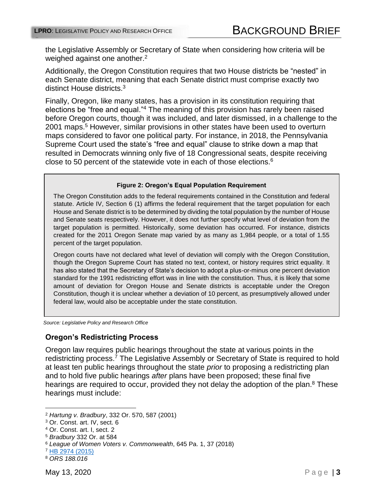the Legislative Assembly or Secretary of State when considering how criteria will be weighed against one another.<sup>2</sup>

Additionally, the Oregon Constitution requires that two House districts be "nested" in each Senate district, meaning that each Senate district must comprise exactly two distinct House districts.<sup>3</sup>

Finally, Oregon, like many states, has a provision in its constitution requiring that elections be "free and equal." <sup>4</sup> The meaning of this provision has rarely been raised before Oregon courts, though it was included, and later dismissed, in a challenge to the 2001 maps. <sup>5</sup> However, similar provisions in other states have been used to overturn maps considered to favor one political party. For instance, in 2018, the Pennsylvania Supreme Court used the state's "free and equal" clause to strike down a map that resulted in Democrats winning only five of 18 Congressional seats, despite receiving close to 50 percent of the statewide vote in each of those elections. $6$ 

#### **Figure 2: Oregon's Equal Population Requirement**

The Oregon Constitution adds to the federal requirements contained in the Constitution and federal statute. Article IV, Section 6 (1) affirms the federal requirement that the target population for each House and Senate district is to be determined by dividing the total population by the number of House and Senate seats respectively. However, it does not further specify what level of deviation from the target population is permitted. Historically, some deviation has occurred. For instance, districts created for the 2011 Oregon Senate map varied by as many as 1,984 people, or a total of 1.55 percent of the target population.

Oregon courts have not declared what level of deviation will comply with the Oregon Constitution, though the Oregon Supreme Court has stated no text, context, or history requires strict equality. It has also stated that the Secretary of State's decision to adopt a plus-or-minus one percent deviation standard for the 1991 redistricting effort was in line with the constitution. Thus, it is likely that some amount of deviation for Oregon House and Senate districts is acceptable under the Oregon Constitution, though it is unclear whether a deviation of 10 percent, as presumptively allowed under federal law, would also be acceptable under the state constitution.

*Source: Legislative Policy and Research Office*

#### **Oregon's Redistricting Process**

Oregon law requires public hearings throughout the state at various points in the redistricting process.<sup>7</sup> The Legislative Assembly or Secretary of State is required to hold at least ten public hearings throughout the state *prior* to proposing a redistricting plan and to hold five public hearings *after* plans have been proposed; these final five hearings are required to occur, provided they not delay the adoption of the plan.<sup>8</sup> These hearings must include:

 $\overline{a}$ 

<sup>2</sup> *Hartung v. Bradbury*, 332 Or. 570, 587 (2001)

<sup>3</sup> Or. Const. art. IV, sect. 6

<sup>4</sup> Or. Const. art. I, sect. 2

<sup>5</sup> *Bradbury* 332 Or. at 584

<sup>6</sup> *League of Women Voters v. Commonwealth*, 645 Pa. 1, 37 (2018)

<sup>7</sup> HB [2974 \(2015\)](https://olis.oregonlegislature.gov/liz/2015R1/Measures/Overview/HB2974)

<sup>8</sup> *ORS 188.016*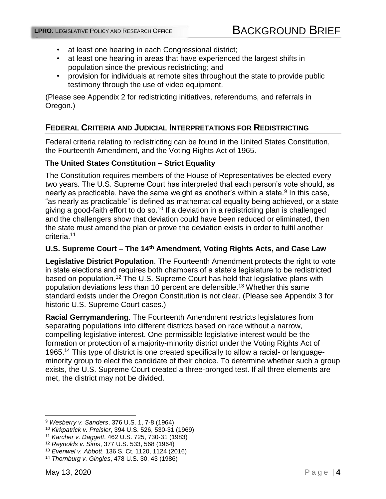- at least one hearing in each Congressional district;
- at least one hearing in areas that have experienced the largest shifts in population since the previous redistricting; and
- provision for individuals at remote sites throughout the state to provide public testimony through the use of video equipment.

(Please see Appendix 2 for redistricting initiatives, referendums, and referrals in Oregon.)

## <span id="page-3-0"></span>**FEDERAL CRITERIA AND JUDICIAL INTERPRETATIONS FOR REDISTRICTING**

Federal criteria relating to redistricting can be found in the United States Constitution, the Fourteenth Amendment, and the Voting Rights Act of 1965.

#### **The United States Constitution – Strict Equality**

The Constitution requires members of the House of Representatives be elected every two years. The U.S. Supreme Court has interpreted that each person's vote should, as nearly as practicable, have the same weight as another's within a state. $^9$  In this case, "as nearly as practicable" is defined as mathematical equality being achieved, or a state giving a good-faith effort to do so.<sup>10</sup> If a deviation in a redistricting plan is challenged and the challengers show that deviation could have been reduced or eliminated, then the state must amend the plan or prove the deviation exists in order to fulfil another criteria.<sup>11</sup>

#### **U.S. Supreme Court – The 14th Amendment, Voting Rights Acts, and Case Law**

**Legislative District Population**. The Fourteenth Amendment protects the right to vote in state elections and requires both chambers of a state's legislature to be redistricted based on population.<sup>12</sup> The U.S. Supreme Court has held that legislative plans with population deviations less than 10 percent are defensible. <sup>13</sup> Whether this same standard exists under the Oregon Constitution is not clear. (Please see Appendix 3 for historic U.S. Supreme Court cases.)

**Racial Gerrymandering**. The Fourteenth Amendment restricts legislatures from separating populations into different districts based on race without a narrow, compelling legislative interest. One permissible legislative interest would be the formation or protection of a majority-minority district under the Voting Rights Act of 1965. <sup>14</sup> This type of district is one created specifically to allow a racial- or languageminority group to elect the candidate of their choice. To determine whether such a group exists, the U.S. Supreme Court created a three-pronged test. If all three elements are met, the district may not be divided.

 $\overline{a}$ 

<sup>9</sup> *Wesberry v. Sanders*, 376 U.S. 1, 7-8 (1964)

<sup>10</sup> *Kirkpatrick v. Preisler*, 394 U.S. 526, 530-31 (1969)

<sup>11</sup> *Karcher v. Daggett*, 462 U.S. 725, 730-31 (1983)

<sup>12</sup> *Reynolds v. Sims*, 377 U.S. 533, 568 (1964)

<sup>13</sup> *Evenwel v. Abbott*, 136 S. Ct. 1120, 1124 (2016)

<sup>14</sup> *Thornburg v. Gingles*, 478 U.S. 30, 43 (1986)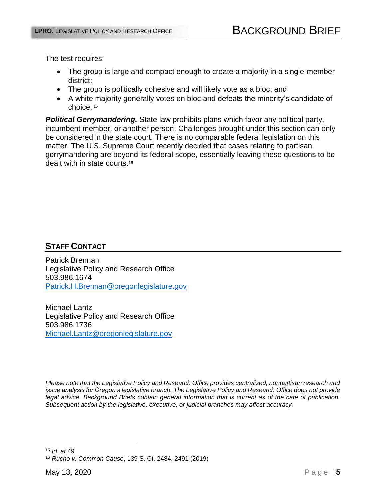The test requires:

OFFICE

- The group is large and compact enough to create a majority in a single-member district;
- The group is politically cohesive and will likely vote as a bloc; and
- A white majority generally votes en bloc and defeats the minority's candidate of choice. <sup>15</sup>

<span id="page-4-0"></span>*Political Gerrymandering.* State law prohibits plans which favor any political party, incumbent member, or another person. Challenges brought under this section can only be considered in the state court. There is no comparable federal legislation on this matter. The U.S. Supreme Court recently decided that cases relating to partisan gerrymandering are beyond its federal scope, essentially leaving these questions to be dealt with in state courts.<sup>16</sup>

## **STAFF CONTACT**

Patrick Brennan Legislative Policy and Research Office 503.986.1674 [Patrick.H.Brennan@oregonlegislature.gov](mailto:Patrick.H.Brennan@oregonlegislature.gov)

Michael Lantz Legislative Policy and Research Office 503.986.1736 [Michael.Lantz@oregonlegislature.gov](mailto:Michael.Lantz@oregonlegislature.gov) 

*Please note that the Legislative Policy and Research Office provides centralized, nonpartisan research and issue analysis for Oregon's legislative branch. The Legislative Policy and Research Office does not provide legal advice. Background Briefs contain general information that is current as of the date of publication. Subsequent action by the legislative, executive, or judicial branches may affect accuracy.*

 $\overline{a}$ <sup>15</sup> *Id*. *at* 49

<sup>16</sup> *Rucho v. Common Cause*, 139 S. Ct. 2484, 2491 (2019)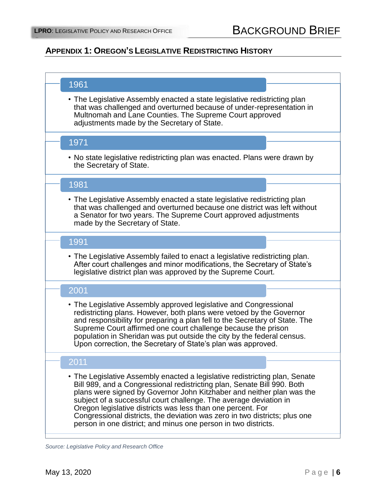## **APPENDIX 1: OREGON'S LEGISLATIVE REDISTRICTING HISTORY**

| 1961                                                                                                                                                                                                                                                                                                                                                                                                                                                                                                                |
|---------------------------------------------------------------------------------------------------------------------------------------------------------------------------------------------------------------------------------------------------------------------------------------------------------------------------------------------------------------------------------------------------------------------------------------------------------------------------------------------------------------------|
| • The Legislative Assembly enacted a state legislative redistricting plan<br>that was challenged and overturned because of under-representation in<br>Multnomah and Lane Counties. The Supreme Court approved<br>adjustments made by the Secretary of State.                                                                                                                                                                                                                                                        |
| 1971                                                                                                                                                                                                                                                                                                                                                                                                                                                                                                                |
| • No state legislative redistricting plan was enacted. Plans were drawn by<br>the Secretary of State.                                                                                                                                                                                                                                                                                                                                                                                                               |
| 1981                                                                                                                                                                                                                                                                                                                                                                                                                                                                                                                |
| • The Legislative Assembly enacted a state legislative redistricting plan<br>that was challenged and overturned because one district was left without<br>a Senator for two years. The Supreme Court approved adjustments<br>made by the Secretary of State.                                                                                                                                                                                                                                                         |
| 1991                                                                                                                                                                                                                                                                                                                                                                                                                                                                                                                |
| • The Legislative Assembly failed to enact a legislative redistricting plan.<br>After court challenges and minor modifications, the Secretary of State's<br>legislative district plan was approved by the Supreme Court.                                                                                                                                                                                                                                                                                            |
| 2001                                                                                                                                                                                                                                                                                                                                                                                                                                                                                                                |
| • The Legislative Assembly approved legislative and Congressional<br>redistricting plans. However, both plans were vetoed by the Governor<br>and responsibility for preparing a plan fell to the Secretary of State. The<br>Supreme Court affirmed one court challenge because the prison<br>population in Sheridan was put outside the city by the federal census.<br>Upon correction, the Secretary of State's plan was approved.                                                                                 |
| 2011                                                                                                                                                                                                                                                                                                                                                                                                                                                                                                                |
| • The Legislative Assembly enacted a legislative redistricting plan, Senate<br>Bill 989, and a Congressional redistricting plan, Senate Bill 990. Both<br>plans were signed by Governor John Kitzhaber and neither plan was the<br>subject of a successful court challenge. The average deviation in<br>Oregon legislative districts was less than one percent. For<br>Congressional districts, the deviation was zero in two districts; plus one<br>person in one district; and minus one person in two districts. |

*Source: Legislative Policy and Research Office*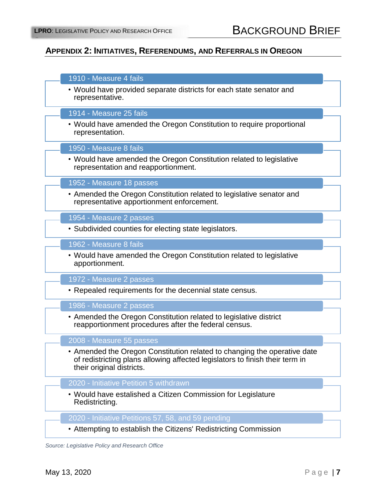## **APPENDIX 2: INITIATIVES, REFERENDUMS, AND REFERRALS IN OREGON**

| 1910 - Measure 4 fails                                                                                                                                                                |
|---------------------------------------------------------------------------------------------------------------------------------------------------------------------------------------|
| • Would have provided separate districts for each state senator and<br>representative.                                                                                                |
| 1914 - Measure 25 fails                                                                                                                                                               |
| • Would have amended the Oregon Constitution to require proportional<br>representation.                                                                                               |
| 1950 - Measure 8 fails                                                                                                                                                                |
| • Would have amended the Oregon Constitution related to legislative<br>representation and reapportionment.                                                                            |
| 1952 - Measure 18 passes                                                                                                                                                              |
| • Amended the Oregon Constitution related to legislative senator and<br>representative apportionment enforcement.                                                                     |
| 1954 - Measure 2 passes                                                                                                                                                               |
| • Subdivided counties for electing state legislators.                                                                                                                                 |
| 1962 - Measure 8 fails                                                                                                                                                                |
| • Would have amended the Oregon Constitution related to legislative<br>apportionment.                                                                                                 |
| 1972 - Measure 2 passes                                                                                                                                                               |
| • Repealed requirements for the decennial state census.                                                                                                                               |
| 1986 - Measure 2 passes                                                                                                                                                               |
| • Amended the Oregon Constitution related to legislative district<br>reapportionment procedures after the federal census.                                                             |
| 2008 - Measure 55 passes                                                                                                                                                              |
| • Amended the Oregon Constitution related to changing the operative date<br>of redistricting plans allowing affected legislators to finish their term in<br>their original districts. |
| 2020 - Initiative Petition 5 withdrawn                                                                                                                                                |
| • Would have estalished a Citizen Commission for Legislature<br>Redistricting.                                                                                                        |
| 2020 - Initiative Petitions 57, 58, and 59 pending                                                                                                                                    |
| • Attempting to establish the Citizens' Redistricting Commission                                                                                                                      |

*Source: Legislative Policy and Research Office*